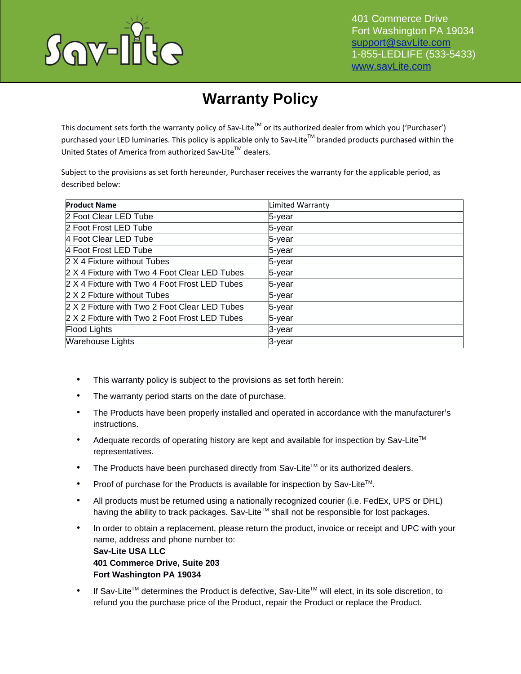

## **Warranty Policy**

This document sets forth the warranty policy of Sav-Lite<sup>TM</sup> or its authorized dealer from which you ('Purchaser') purchased your LED luminaries. This policy is applicable only to Sav-Lite™ branded products purchased within the United States of America from authorized Sav-Lite<sup>TM</sup> dealers.

Subject to the provisions as set forth hereunder, Purchaser receives the warranty for the applicable period, as described below:

| <b>Product Name</b>                           | Limited Warranty |
|-----------------------------------------------|------------------|
| 2 Foot Clear LED Tube                         | 5-year           |
| 2 Foot Frost LED Tube                         | 5-year           |
| 4 Foot Clear LED Tube                         | 5-year           |
| 4 Foot Frost LED Tube                         | 5-year           |
| 2 X 4 Fixture without Tubes                   | 5-year           |
| 2 X 4 Fixture with Two 4 Foot Clear LED Tubes | 5-year           |
| 2 X 4 Fixture with Two 4 Foot Frost LED Tubes | 5-year           |
| 2 X 2 Fixture without Tubes                   | 5-year           |
| 2 X 2 Fixture with Two 2 Foot Clear LED Tubes | 5-year           |
| 2 X 2 Fixture with Two 2 Foot Frost LED Tubes | 5-year           |
| <b>Flood Lights</b>                           | 3-year           |
| <b>Warehouse Lights</b>                       | 3-year           |

- This warranty policy is subject to the provisions as set forth herein:
- The warranty period starts on the date of purchase.
- The Products have been properly installed and operated in accordance with the manufacturer's instructions.
- Adequate records of operating history are kept and available for inspection by Sav-Lite<sup>TM</sup> representatives.
- The Products have been purchased directly from Sav-Lite<sup>TM</sup> or its authorized dealers.
- Proof of purchase for the Products is available for inspection by Sav-Lite™.
- All products must be returned using a nationally recognized courier (i.e. FedEx, UPS or DHL) having the ability to track packages. Sav-Lite™ shall not be responsible for lost packages.
- In order to obtain a replacement, please return the product, invoice or receipt and UPC with your name, address and phone number to: **Sav-Lite USA LLC 401 Commerce Drive, Suite 203 Fort Washington PA 19034**
- If Sav-Lite<sup>TM</sup> determines the Product is defective, Sav-Lite<sup>TM</sup> will elect, in its sole discretion, to refund you the purchase price of the Product, repair the Product or replace the Product.